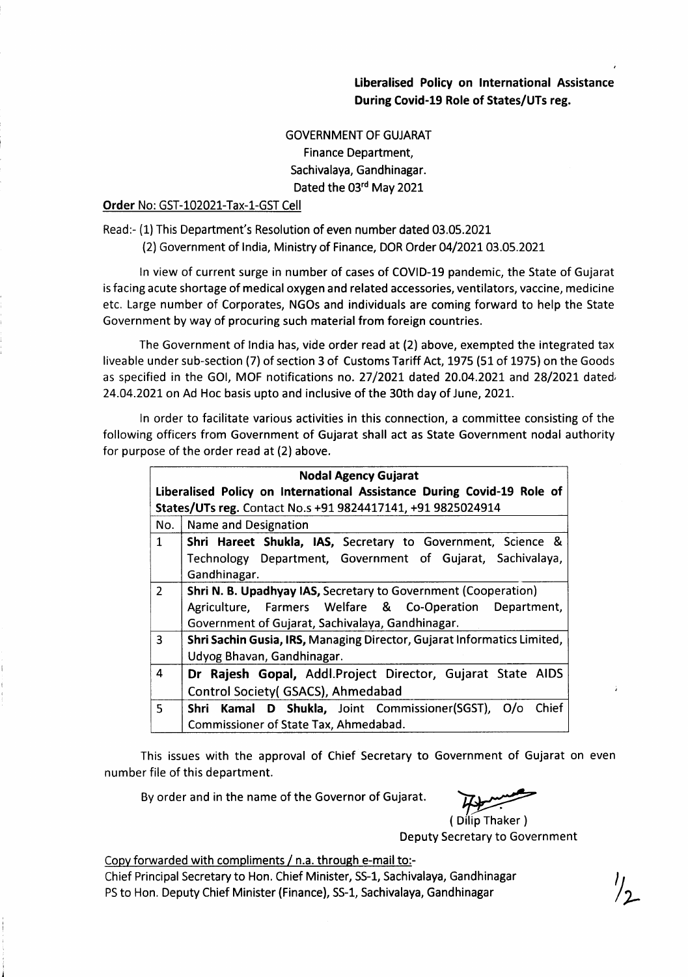Liberalised Policy on lnternational Assistance During Covid-19 Role of States/UTs reg.

## **GOVERNMENT OF GUJARAT** Finance Department, Sachivalaya, Gandhinagar. Dated the 03rd May 2021

## Order No: GST-10202l-Tax-1-GST Cell

Read:- (1) This Department's Resolution of even number dated 03.05.2021

(2) Government of India, Ministry of Finance, DOR Order 04/2021 03.05.2021

ln view of current surge in number of cases of COVID-19 pandemic, the State of Gujarat is facing acute shortage of medical oxygen and related accessories, ventilators, vaccine, medicine etc. Large number of Corporates, NGOs and individuals are coming forward to help the State Government by way of procuring such material from foreign countries.

The Government of lndia has, vide order read at (2) above, exempted the integrated tax liveable under sub-section (7) of section 3 of Customs Tariff Act, 1975 (51 of 1975) on the Goods as specified in the GOI, MOF notifications no.  $27/2021$  dated  $20.04.2021$  and  $28/2021$  dated 24.04.2021 on Ad Hoc basis upto and inclusive of the 30th day of June, 2021.

ln order to facilitate various activities in this connection, a committee consisting of the following officers from Government of Gujarat shall act as State Government nodal authority for purpose of the order read at (2) above.

| <b>Nodal Agency Gujarat</b>                                            |                                                                         |
|------------------------------------------------------------------------|-------------------------------------------------------------------------|
| Liberalised Policy on International Assistance During Covid-19 Role of |                                                                         |
| States/UTs reg. Contact No.s +91 9824417141, +91 9825024914            |                                                                         |
| No.                                                                    | Name and Designation                                                    |
| $\mathbf{1}$                                                           | Shri Hareet Shukla, IAS, Secretary to Government, Science &             |
|                                                                        | Technology Department, Government of Gujarat, Sachivalaya,              |
|                                                                        | Gandhinagar.                                                            |
| $\overline{2}$                                                         | <b>Shri N. B. Upadhyay IAS, Secretary to Government (Cooperation)</b>   |
|                                                                        | Agriculture, Farmers Welfare & Co-Operation Department,                 |
|                                                                        | Government of Gujarat, Sachivalaya, Gandhinagar.                        |
| 3                                                                      | Shri Sachin Gusia, IRS, Managing Director, Gujarat Informatics Limited, |
|                                                                        | Udyog Bhavan, Gandhinagar.                                              |
| 4                                                                      | Dr Rajesh Gopal, Addl.Project Director, Gujarat State AIDS              |
|                                                                        | Control Society (GSACS), Ahmedabad                                      |
| 5                                                                      | Shri Kamal D Shukla, Joint Commissioner(SGST),<br>Chief<br>O/O          |
|                                                                        | Commissioner of State Tax, Ahmedabad.                                   |

This issues with the approval of Chief Secretary to Government of Gujarat on even number file of this department.

By order and in the name of the Governor of Gujarat.

 $\frac{H+1}{2}$ 

( Dilip Thaker ) Deputy Secretary to Government

Copy forwarded with compliments / n.a. through e-mail to:-Chief Principal Secretary to Hon. Chief Minister, SS-1, Sachivalaya, Gandhinagar PS to Hon. Deputy Chief Minister (Finance), SS-1, Sachivalaya, Gandhinagar

 $\eta_{\perp}$